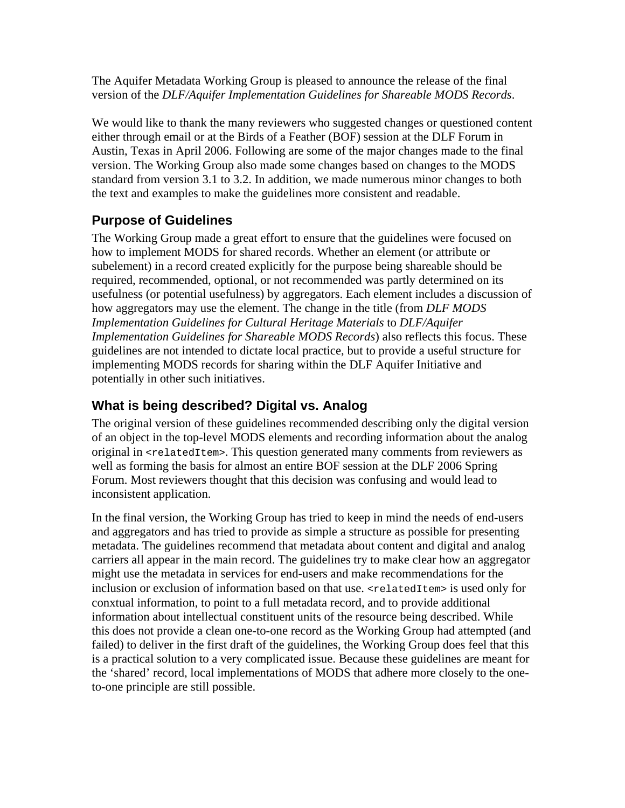The Aquifer Metadata Working Group is pleased to announce the release of the final version of the *DLF/Aquifer Implementation Guidelines for Shareable MODS Records*.

We would like to thank the many reviewers who suggested changes or questioned content either through email or at the Birds of a Feather (BOF) session at the DLF Forum in Austin, Texas in April 2006. Following are some of the major changes made to the final version. The Working Group also made some changes based on changes to the MODS standard from version 3.1 to 3.2. In addition, we made numerous minor changes to both the text and examples to make the guidelines more consistent and readable.

## **Purpose of Guidelines**

The Working Group made a great effort to ensure that the guidelines were focused on how to implement MODS for shared records. Whether an element (or attribute or subelement) in a record created explicitly for the purpose being shareable should be required, recommended, optional, or not recommended was partly determined on its usefulness (or potential usefulness) by aggregators. Each element includes a discussion of how aggregators may use the element. The change in the title (from *DLF MODS Implementation Guidelines for Cultural Heritage Materials* to *DLF/Aquifer Implementation Guidelines for Shareable MODS Records*) also reflects this focus. These guidelines are not intended to dictate local practice, but to provide a useful structure for implementing MODS records for sharing within the DLF Aquifer Initiative and potentially in other such initiatives.

## **What is being described? Digital vs. Analog**

The original version of these guidelines recommended describing only the digital version of an object in the top-level MODS elements and recording information about the analog original in  $\le$ relatedItem>. This question generated many comments from reviewers as well as forming the basis for almost an entire BOF session at the DLF 2006 Spring Forum. Most reviewers thought that this decision was confusing and would lead to inconsistent application.

In the final version, the Working Group has tried to keep in mind the needs of end-users and aggregators and has tried to provide as simple a structure as possible for presenting metadata. The guidelines recommend that metadata about content and digital and analog carriers all appear in the main record. The guidelines try to make clear how an aggregator might use the metadata in services for end-users and make recommendations for the inclusion or exclusion of information based on that use. <relatedItem> is used only for conxtual information, to point to a full metadata record, and to provide additional information about intellectual constituent units of the resource being described. While this does not provide a clean one-to-one record as the Working Group had attempted (and failed) to deliver in the first draft of the guidelines, the Working Group does feel that this is a practical solution to a very complicated issue. Because these guidelines are meant for the 'shared' record, local implementations of MODS that adhere more closely to the oneto-one principle are still possible.